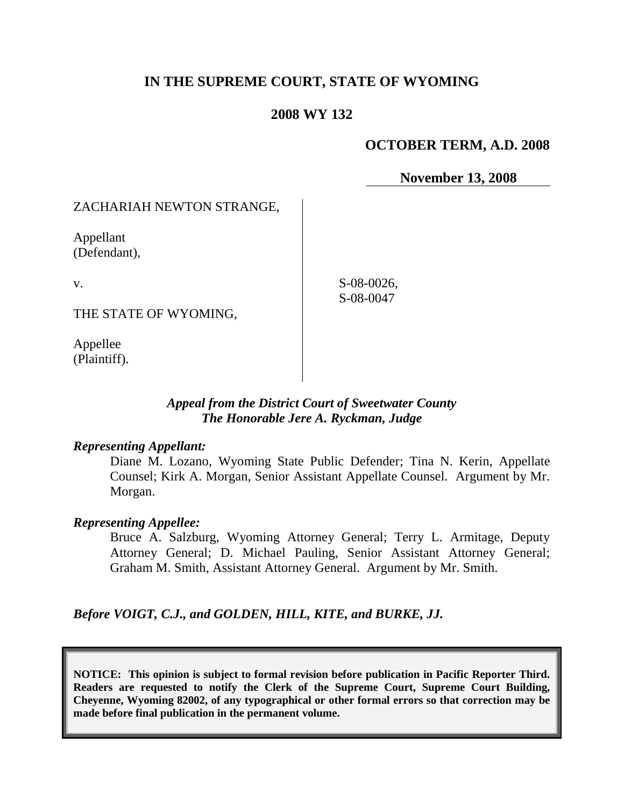# **IN THE SUPREME COURT, STATE OF WYOMING**

# **2008 WY 132**

## **OCTOBER TERM, A.D. 2008**

**November 13, 2008**

# ZACHARIAH NEWTON STRANGE,

Appellant (Defendant),

v.

THE STATE OF WYOMING,

Appellee (Plaintiff).

S-08-0026, S-08-0047

# *Appeal from the District Court of Sweetwater County The Honorable Jere A. Ryckman, Judge*

#### *Representing Appellant:*

Diane M. Lozano, Wyoming State Public Defender; Tina N. Kerin, Appellate Counsel; Kirk A. Morgan, Senior Assistant Appellate Counsel. Argument by Mr. Morgan.

#### *Representing Appellee:*

Bruce A. Salzburg, Wyoming Attorney General; Terry L. Armitage, Deputy Attorney General; D. Michael Pauling, Senior Assistant Attorney General; Graham M. Smith, Assistant Attorney General. Argument by Mr. Smith.

*Before VOIGT, C.J., and GOLDEN, HILL, KITE, and BURKE, JJ.*

**NOTICE: This opinion is subject to formal revision before publication in Pacific Reporter Third. Readers are requested to notify the Clerk of the Supreme Court, Supreme Court Building, Cheyenne, Wyoming 82002, of any typographical or other formal errors so that correction may be made before final publication in the permanent volume.**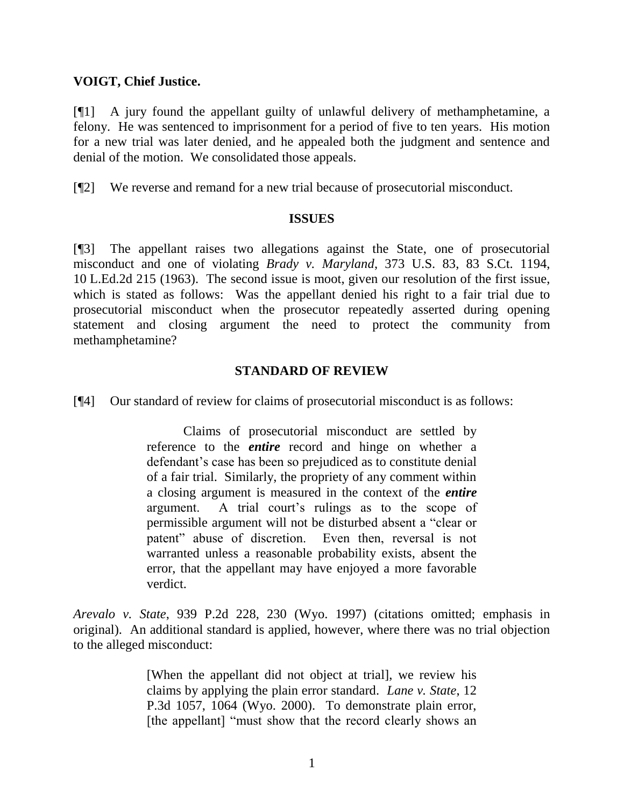### **VOIGT, Chief Justice.**

[¶1] A jury found the appellant guilty of unlawful delivery of methamphetamine, a felony. He was sentenced to imprisonment for a period of five to ten years. His motion for a new trial was later denied, and he appealed both the judgment and sentence and denial of the motion. We consolidated those appeals.

[¶2] We reverse and remand for a new trial because of prosecutorial misconduct.

#### **ISSUES**

[¶3] The appellant raises two allegations against the State, one of prosecutorial misconduct and one of violating *Brady v. Maryland*, 373 U.S. 83, 83 S.Ct. 1194, 10 L.Ed.2d 215 (1963). The second issue is moot, given our resolution of the first issue, which is stated as follows: Was the appellant denied his right to a fair trial due to prosecutorial misconduct when the prosecutor repeatedly asserted during opening statement and closing argument the need to protect the community from methamphetamine?

### **STANDARD OF REVIEW**

[¶4] Our standard of review for claims of prosecutorial misconduct is as follows:

Claims of prosecutorial misconduct are settled by reference to the *entire* record and hinge on whether a defendant's case has been so prejudiced as to constitute denial of a fair trial. Similarly, the propriety of any comment within a closing argument is measured in the context of the *entire* argument. A trial court's rulings as to the scope of permissible argument will not be disturbed absent a "clear or patent" abuse of discretion. Even then, reversal is not warranted unless a reasonable probability exists, absent the error, that the appellant may have enjoyed a more favorable verdict.

*Arevalo v. State*, 939 P.2d 228, 230 (Wyo. 1997) (citations omitted; emphasis in original). An additional standard is applied, however, where there was no trial objection to the alleged misconduct:

> [When the appellant did not object at trial], we review his claims by applying the plain error standard. *Lane v. State*, 12 P.3d 1057, 1064 (Wyo. 2000). To demonstrate plain error, [the appellant] "must show that the record clearly shows an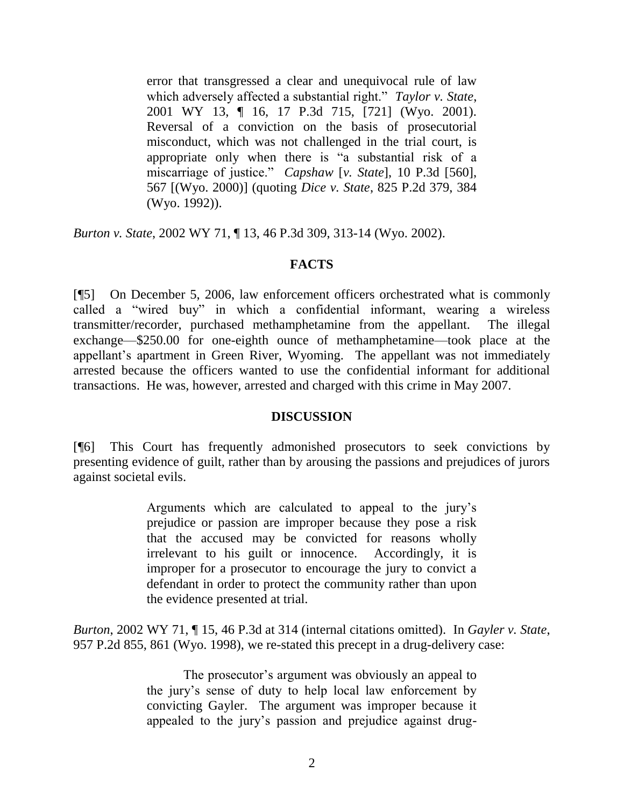error that transgressed a clear and unequivocal rule of law which adversely affected a substantial right." Taylor v. State, 2001 WY 13, ¶ 16, 17 P.3d 715, [721] (Wyo. 2001). Reversal of a conviction on the basis of prosecutorial misconduct, which was not challenged in the trial court, is appropriate only when there is "a substantial risk of a miscarriage of justice.‖ *Capshaw* [*v. State*], 10 P.3d [560], 567 [(Wyo. 2000)] (quoting *Dice v. State*, 825 P.2d 379, 384 (Wyo. 1992)).

*Burton v. State*, 2002 WY 71, ¶ 13, 46 P.3d 309, 313-14 (Wyo. 2002).

# **FACTS**

[¶5] On December 5, 2006, law enforcement officers orchestrated what is commonly called a "wired buy" in which a confidential informant, wearing a wireless transmitter/recorder, purchased methamphetamine from the appellant. The illegal exchange—\$250.00 for one-eighth ounce of methamphetamine—took place at the appellant's apartment in Green River, Wyoming. The appellant was not immediately arrested because the officers wanted to use the confidential informant for additional transactions. He was, however, arrested and charged with this crime in May 2007.

### **DISCUSSION**

[¶6] This Court has frequently admonished prosecutors to seek convictions by presenting evidence of guilt, rather than by arousing the passions and prejudices of jurors against societal evils.

> Arguments which are calculated to appeal to the jury's prejudice or passion are improper because they pose a risk that the accused may be convicted for reasons wholly irrelevant to his guilt or innocence. Accordingly, it is improper for a prosecutor to encourage the jury to convict a defendant in order to protect the community rather than upon the evidence presented at trial.

*Burton*, 2002 WY 71, ¶ 15, 46 P.3d at 314 (internal citations omitted). In *Gayler v. State*, 957 P.2d 855, 861 (Wyo. 1998), we re-stated this precept in a drug-delivery case:

> The prosecutor's argument was obviously an appeal to the jury's sense of duty to help local law enforcement by convicting Gayler. The argument was improper because it appealed to the jury's passion and prejudice against drug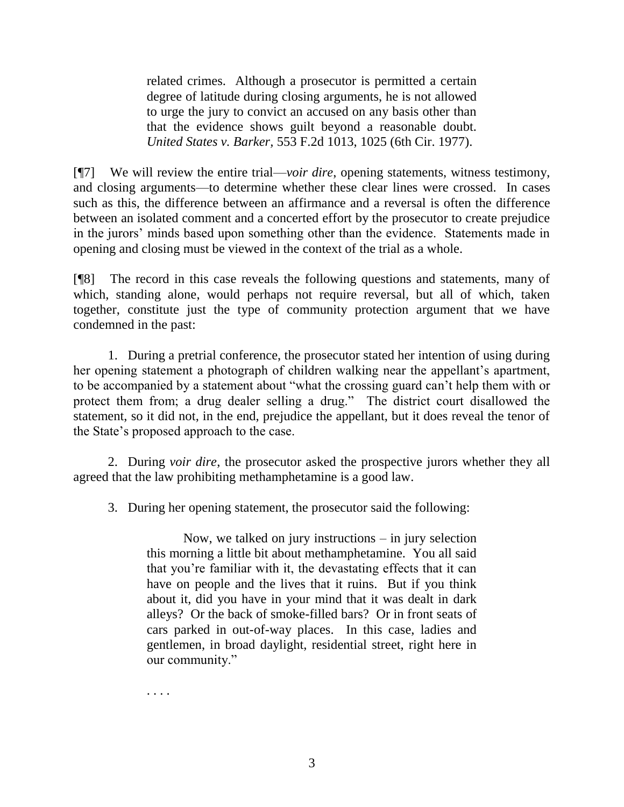related crimes. Although a prosecutor is permitted a certain degree of latitude during closing arguments, he is not allowed to urge the jury to convict an accused on any basis other than that the evidence shows guilt beyond a reasonable doubt. *United States v. Barker,* 553 F.2d 1013, 1025 (6th Cir. 1977).

[¶7] We will review the entire trial—*voir dire*, opening statements, witness testimony, and closing arguments—to determine whether these clear lines were crossed. In cases such as this, the difference between an affirmance and a reversal is often the difference between an isolated comment and a concerted effort by the prosecutor to create prejudice in the jurors' minds based upon something other than the evidence. Statements made in opening and closing must be viewed in the context of the trial as a whole.

[¶8] The record in this case reveals the following questions and statements, many of which, standing alone, would perhaps not require reversal, but all of which, taken together, constitute just the type of community protection argument that we have condemned in the past:

1. During a pretrial conference, the prosecutor stated her intention of using during her opening statement a photograph of children walking near the appellant's apartment, to be accompanied by a statement about "what the crossing guard can't help them with or protect them from; a drug dealer selling a drug." The district court disallowed the statement, so it did not, in the end, prejudice the appellant, but it does reveal the tenor of the State's proposed approach to the case.

2. During *voir dire*, the prosecutor asked the prospective jurors whether they all agreed that the law prohibiting methamphetamine is a good law.

3. During her opening statement, the prosecutor said the following:

Now, we talked on jury instructions – in jury selection this morning a little bit about methamphetamine. You all said that you're familiar with it, the devastating effects that it can have on people and the lives that it ruins. But if you think about it, did you have in your mind that it was dealt in dark alleys? Or the back of smoke-filled bars? Or in front seats of cars parked in out-of-way places. In this case, ladies and gentlemen, in broad daylight, residential street, right here in our community."

. . . .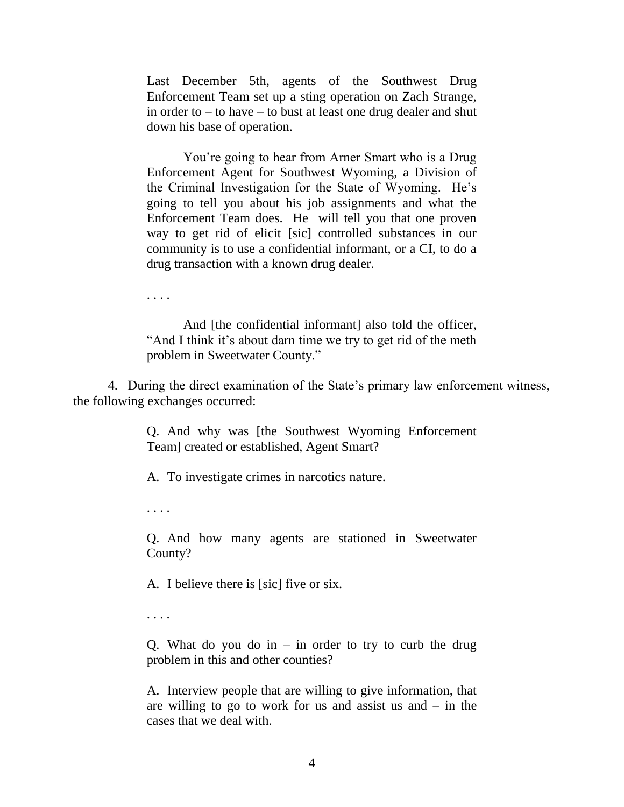Last December 5th, agents of the Southwest Drug Enforcement Team set up a sting operation on Zach Strange, in order to – to have – to bust at least one drug dealer and shut down his base of operation.

You're going to hear from Arner Smart who is a Drug Enforcement Agent for Southwest Wyoming, a Division of the Criminal Investigation for the State of Wyoming. He's going to tell you about his job assignments and what the Enforcement Team does. He will tell you that one proven way to get rid of elicit [sic] controlled substances in our community is to use a confidential informant, or a CI, to do a drug transaction with a known drug dealer.

. . . .

And [the confidential informant] also told the officer, "And I think it's about darn time we try to get rid of the meth problem in Sweetwater County."

4. During the direct examination of the State's primary law enforcement witness, the following exchanges occurred:

> Q. And why was [the Southwest Wyoming Enforcement Team] created or established, Agent Smart?

A. To investigate crimes in narcotics nature.

. . . .

Q. And how many agents are stationed in Sweetwater County?

A. I believe there is [sic] five or six.

. . . .

Q. What do you do in  $-$  in order to try to curb the drug problem in this and other counties?

A. Interview people that are willing to give information, that are willing to go to work for us and assist us and  $-$  in the cases that we deal with.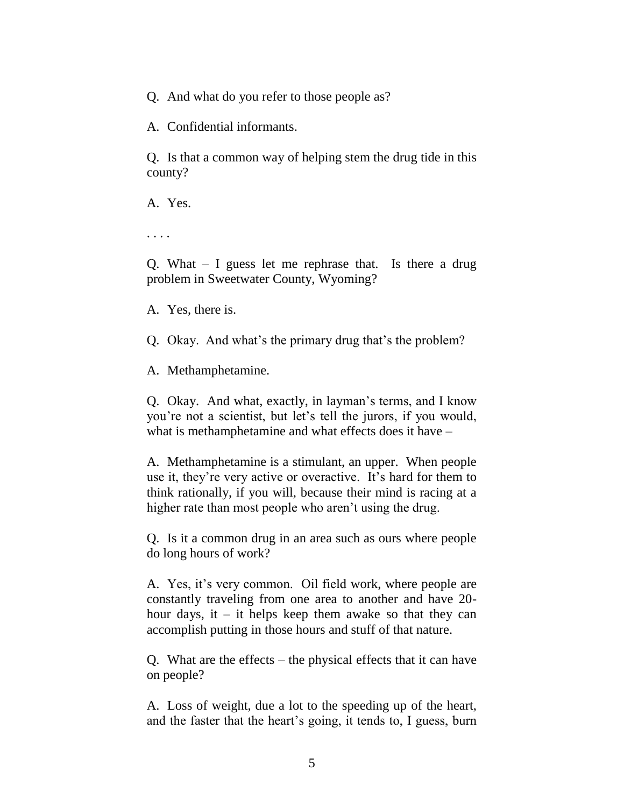Q. And what do you refer to those people as?

A. Confidential informants.

Q. Is that a common way of helping stem the drug tide in this county?

A. Yes.

. . . .

Q. What – I guess let me rephrase that. Is there a drug problem in Sweetwater County, Wyoming?

A. Yes, there is.

Q. Okay. And what's the primary drug that's the problem?

A. Methamphetamine.

Q. Okay. And what, exactly, in layman's terms, and I know you're not a scientist, but let's tell the jurors, if you would, what is methamphetamine and what effects does it have –

A. Methamphetamine is a stimulant, an upper. When people use it, they're very active or overactive. It's hard for them to think rationally, if you will, because their mind is racing at a higher rate than most people who aren't using the drug.

Q. Is it a common drug in an area such as ours where people do long hours of work?

A. Yes, it's very common. Oil field work, where people are constantly traveling from one area to another and have 20 hour days, it – it helps keep them awake so that they can accomplish putting in those hours and stuff of that nature.

Q. What are the effects – the physical effects that it can have on people?

A. Loss of weight, due a lot to the speeding up of the heart, and the faster that the heart's going, it tends to, I guess, burn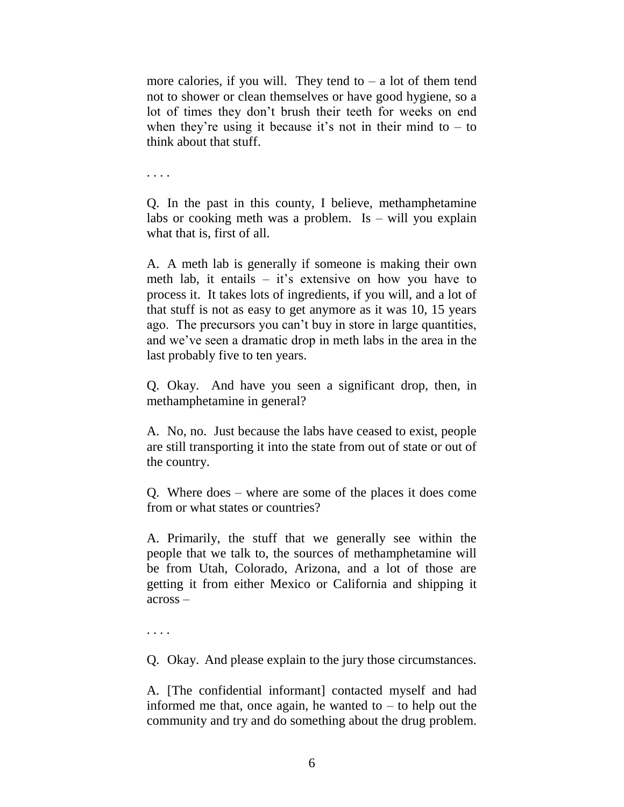more calories, if you will. They tend to  $-$  a lot of them tend not to shower or clean themselves or have good hygiene, so a lot of times they don't brush their teeth for weeks on end when they're using it because it's not in their mind to  $-$  to think about that stuff.

. . . .

Q. In the past in this county, I believe, methamphetamine labs or cooking meth was a problem. Is  $-$  will you explain what that is, first of all.

A. A meth lab is generally if someone is making their own meth lab, it entails – it's extensive on how you have to process it. It takes lots of ingredients, if you will, and a lot of that stuff is not as easy to get anymore as it was 10, 15 years ago. The precursors you can't buy in store in large quantities, and we've seen a dramatic drop in meth labs in the area in the last probably five to ten years.

Q. Okay. And have you seen a significant drop, then, in methamphetamine in general?

A. No, no. Just because the labs have ceased to exist, people are still transporting it into the state from out of state or out of the country.

Q. Where does – where are some of the places it does come from or what states or countries?

A. Primarily, the stuff that we generally see within the people that we talk to, the sources of methamphetamine will be from Utah, Colorado, Arizona, and a lot of those are getting it from either Mexico or California and shipping it across –

. . . .

Q. Okay. And please explain to the jury those circumstances.

A. [The confidential informant] contacted myself and had informed me that, once again, he wanted to  $-$  to help out the community and try and do something about the drug problem.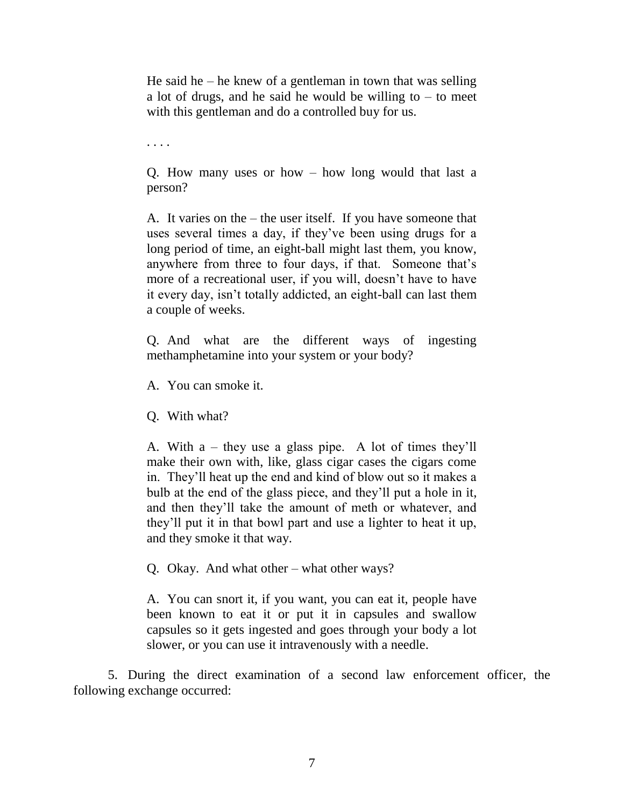He said he – he knew of a gentleman in town that was selling a lot of drugs, and he said he would be willing to  $-$  to meet with this gentleman and do a controlled buy for us.

. . . .

Q. How many uses or how – how long would that last a person?

A. It varies on the – the user itself. If you have someone that uses several times a day, if they've been using drugs for a long period of time, an eight-ball might last them, you know, anywhere from three to four days, if that. Someone that's more of a recreational user, if you will, doesn't have to have it every day, isn't totally addicted, an eight-ball can last them a couple of weeks.

Q. And what are the different ways of ingesting methamphetamine into your system or your body?

A. You can smoke it.

Q. With what?

A. With a – they use a glass pipe. A lot of times they'll make their own with, like, glass cigar cases the cigars come in. They'll heat up the end and kind of blow out so it makes a bulb at the end of the glass piece, and they'll put a hole in it, and then they'll take the amount of meth or whatever, and they'll put it in that bowl part and use a lighter to heat it up, and they smoke it that way.

Q. Okay. And what other – what other ways?

A. You can snort it, if you want, you can eat it, people have been known to eat it or put it in capsules and swallow capsules so it gets ingested and goes through your body a lot slower, or you can use it intravenously with a needle.

5. During the direct examination of a second law enforcement officer, the following exchange occurred: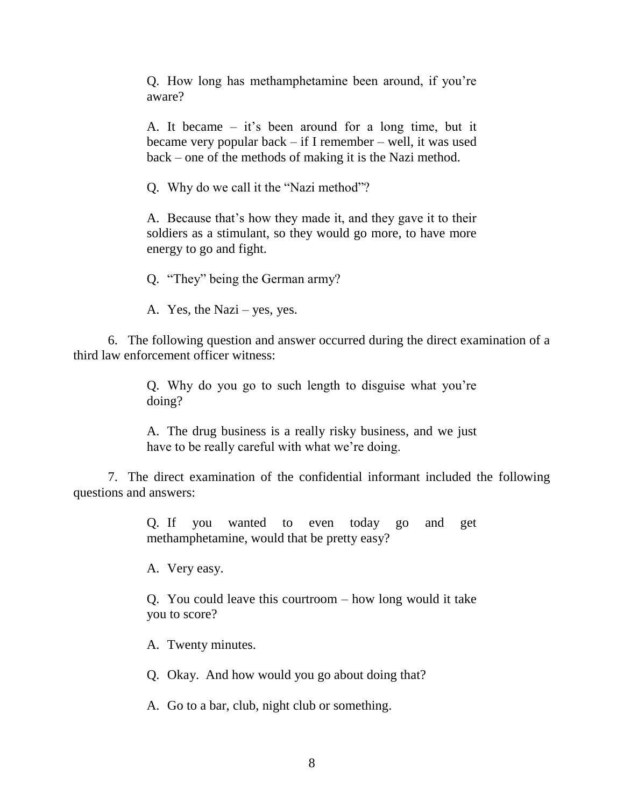Q. How long has methamphetamine been around, if you're aware?

A. It became – it's been around for a long time, but it became very popular back – if I remember – well, it was used back – one of the methods of making it is the Nazi method.

Q. Why do we call it the "Nazi method"?

A. Because that's how they made it, and they gave it to their soldiers as a stimulant, so they would go more, to have more energy to go and fight.

Q. "They" being the German army?

A. Yes, the Nazi – yes, yes.

6. The following question and answer occurred during the direct examination of a third law enforcement officer witness:

> Q. Why do you go to such length to disguise what you're doing?

> A. The drug business is a really risky business, and we just have to be really careful with what we're doing.

7. The direct examination of the confidential informant included the following questions and answers:

> Q. If you wanted to even today go and get methamphetamine, would that be pretty easy?

A. Very easy.

Q. You could leave this courtroom – how long would it take you to score?

A. Twenty minutes.

Q. Okay. And how would you go about doing that?

A. Go to a bar, club, night club or something.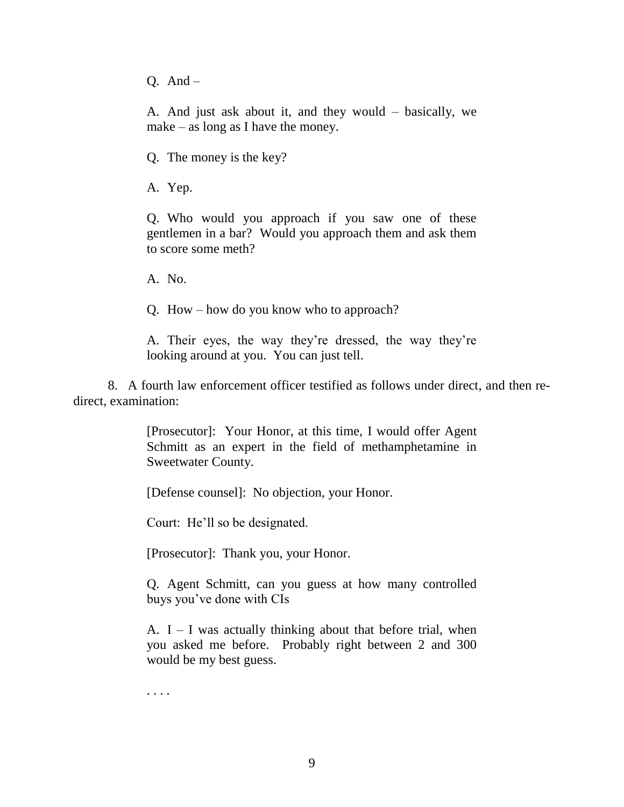Q. And –

A. And just ask about it, and they would – basically, we make – as long as I have the money.

Q. The money is the key?

A. Yep.

Q. Who would you approach if you saw one of these gentlemen in a bar? Would you approach them and ask them to score some meth?

A. No.

Q. How – how do you know who to approach?

A. Their eyes, the way they're dressed, the way they're looking around at you. You can just tell.

8. A fourth law enforcement officer testified as follows under direct, and then redirect, examination:

> [Prosecutor]: Your Honor, at this time, I would offer Agent Schmitt as an expert in the field of methamphetamine in Sweetwater County.

[Defense counsel]: No objection, your Honor.

Court: He'll so be designated.

[Prosecutor]: Thank you, your Honor.

Q. Agent Schmitt, can you guess at how many controlled buys you've done with CIs

A.  $I - I$  was actually thinking about that before trial, when you asked me before. Probably right between 2 and 300 would be my best guess.

. . . .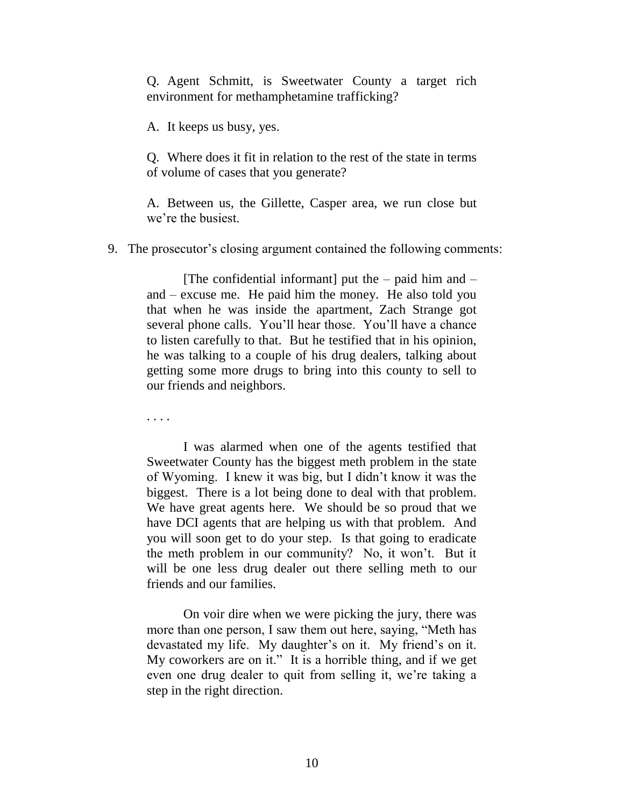Q. Agent Schmitt, is Sweetwater County a target rich environment for methamphetamine trafficking?

A. It keeps us busy, yes.

Q. Where does it fit in relation to the rest of the state in terms of volume of cases that you generate?

A. Between us, the Gillette, Casper area, we run close but we're the busiest.

9. The prosecutor's closing argument contained the following comments:

[The confidential informant] put the  $-$  paid him and  $$ and – excuse me. He paid him the money. He also told you that when he was inside the apartment, Zach Strange got several phone calls. You'll hear those. You'll have a chance to listen carefully to that. But he testified that in his opinion, he was talking to a couple of his drug dealers, talking about getting some more drugs to bring into this county to sell to our friends and neighbors.

. . . .

I was alarmed when one of the agents testified that Sweetwater County has the biggest meth problem in the state of Wyoming. I knew it was big, but I didn't know it was the biggest. There is a lot being done to deal with that problem. We have great agents here. We should be so proud that we have DCI agents that are helping us with that problem. And you will soon get to do your step. Is that going to eradicate the meth problem in our community? No, it won't. But it will be one less drug dealer out there selling meth to our friends and our families.

On voir dire when we were picking the jury, there was more than one person, I saw them out here, saying, "Meth has devastated my life. My daughter's on it. My friend's on it. My coworkers are on it." It is a horrible thing, and if we get even one drug dealer to quit from selling it, we're taking a step in the right direction.